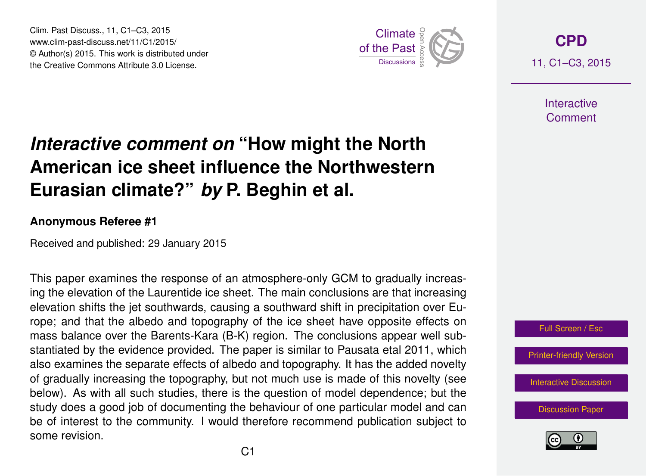Clim. Past Discuss., 11, C1–C3, 2015 www.clim-past-discuss.net/11/C1/2015/ © Author(s) 2015. This work is distributed under Clim. Past Discuss., 11, C1–C3, 2015<br>www.clim-past-discuss.net/11/C1/2015/<br>© Author(s) 2015. This work is distributed under<br>the Creative Commons Attribute 3.0 License.



**[CPD](http://www.clim-past-discuss.net)** 11, C1–C3, 2015

> **Interactive** Comment

# *Interactive comment on* **"How might the North American ice sheet influence the Northwestern Eurasian climate?"** *by* **P. Beghin et al.**

#### **Anonymous Referee #1**

Received and published: 29 January 2015

This paper examines the response of an atmosphere-only GCM to gradually increasing the elevation of the Laurentide ice sheet. The main conclusions are that increasing elevation shifts the jet southwards, causing a southward shift in precipitation over Europe; and that the albedo and topography of the ice sheet have opposite effects on mass balance over the Barents-Kara (B-K) region. The conclusions appear well substantiated by the evidence provided. The paper is similar to Pausata etal 2011, which also examines the separate effects of albedo and topography. It has the added novelty of gradually increasing the topography, but not much use is made of this novelty (see below). As with all such studies, there is the question of model dependence; but the study does a good job of documenting the behaviour of one particular model and can be of interest to the community. I would therefore recommend publication subject to some revision.



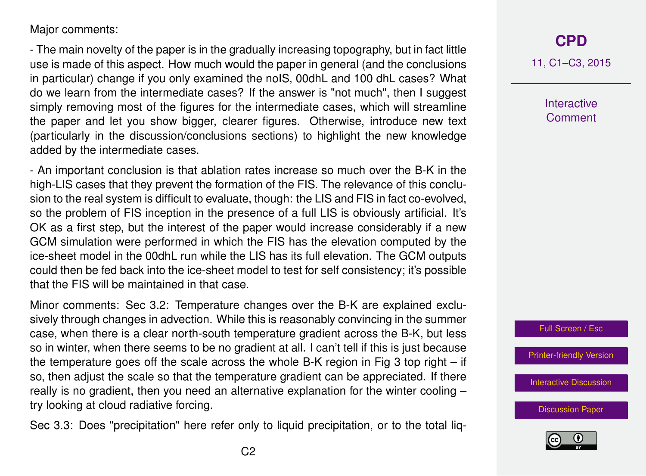#### Major comments:

- The main novelty of the paper is in the gradually increasing topography, but in fact little use is made of this aspect. How much would the paper in general (and the conclusions in particular) change if you only examined the noIS, 00dhL and 100 dhL cases? What do we learn from the intermediate cases? If the answer is "not much", then I suggest simply removing most of the figures for the intermediate cases, which will streamline the paper and let you show bigger, clearer figures. Otherwise, introduce new text (particularly in the discussion/conclusions sections) to highlight the new knowledge added by the intermediate cases.

- An important conclusion is that ablation rates increase so much over the B-K in the high-LIS cases that they prevent the formation of the FIS. The relevance of this conclusion to the real system is difficult to evaluate, though: the LIS and FIS in fact co-evolved, so the problem of FIS inception in the presence of a full LIS is obviously artificial. It's OK as a first step, but the interest of the paper would increase considerably if a new GCM simulation were performed in which the FIS has the elevation computed by the ice-sheet model in the 00dhL run while the LIS has its full elevation. The GCM outputs could then be fed back into the ice-sheet model to test for self consistency; it's possible that the FIS will be maintained in that case.

Minor comments: Sec 3.2: Temperature changes over the B-K are explained exclusively through changes in advection. While this is reasonably convincing in the summer case, when there is a clear north-south temperature gradient across the B-K, but less so in winter, when there seems to be no gradient at all. I can't tell if this is just because the temperature goes off the scale across the whole B-K region in Fig 3 top right  $-$  if so, then adjust the scale so that the temperature gradient can be appreciated. If there really is no gradient, then you need an alternative explanation for the winter cooling – try looking at cloud radiative forcing.

Sec 3.3: Does "precipitation" here refer only to liquid precipitation, or to the total liq-

## **[CPD](http://www.clim-past-discuss.net)**

11, C1–C3, 2015

**Interactive Comment** 



[Printer-friendly Version](http://www.clim-past-discuss.net/11/C1/2015/cpd-11-C1-2015-print.pdf)

[Interactive Discussion](http://www.clim-past-discuss.net/11/27/2015/cpd-11-27-2015-discussion.html)

[Discussion Paper](http://www.clim-past-discuss.net/11/27/2015/cpd-11-27-2015.pdf)